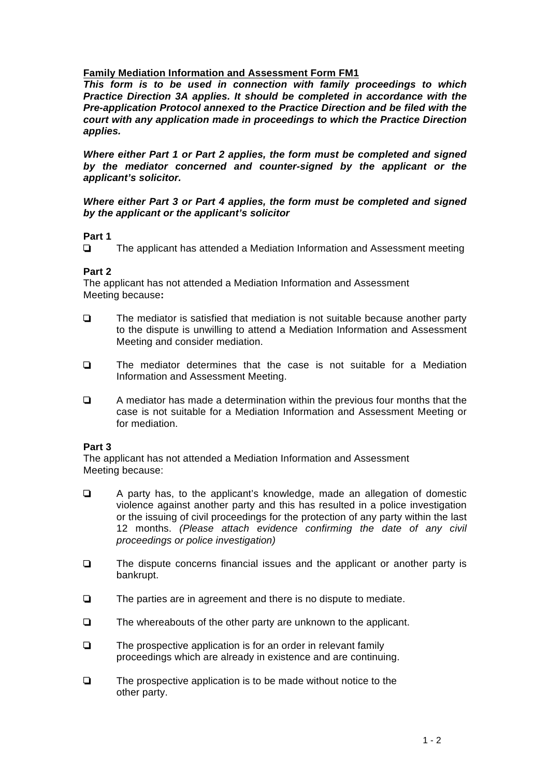## **Family Mediation Information and Assessment Form FM1**

*This form is to be used in connection with family proceedings to which Practice Direction 3A applies. It should be completed in accordance with the Pre-application Protocol annexed to the Practice Direction and be filed with the court with any application made in proceedings to which the Practice Direction applies.* 

*Where either Part 1 or Part 2 applies, the form must be completed and signed by the mediator concerned and counter-signed by the applicant or the applicant's solicitor.* 

### *Where either Part 3 or Part 4 applies, the form must be completed and signed by the applicant or the applicant's solicitor*

## **Part 1**

The applicant has attended a Mediation Information and Assessment meeting

# **Part 2**

The applicant has not attended a Mediation Information and Assessment Meeting because**:** 

- $\Box$  The mediator is satisfied that mediation is not suitable because another party to the dispute is unwilling to attend a Mediation Information and Assessment Meeting and consider mediation.
- The mediator determines that the case is not suitable for a Mediation Information and Assessment Meeting.
- $\Box$  A mediator has made a determination within the previous four months that the case is not suitable for a Mediation Information and Assessment Meeting or for mediation.

## **Part 3**

The applicant has not attended a Mediation Information and Assessment Meeting because:

- A party has, to the applicant's knowledge, made an allegation of domestic violence against another party and this has resulted in a police investigation or the issuing of civil proceedings for the protection of any party within the last 12 months. *(Please attach evidence confirming the date of any civil proceedings or police investigation)*
- $\Box$  The dispute concerns financial issues and the applicant or another party is bankrupt.
- $\Box$  The parties are in agreement and there is no dispute to mediate.
- $\Box$  The whereabouts of the other party are unknown to the applicant.
- $\Box$  The prospective application is for an order in relevant family proceedings which are already in existence and are continuing.
- $\Box$  The prospective application is to be made without notice to the other party.